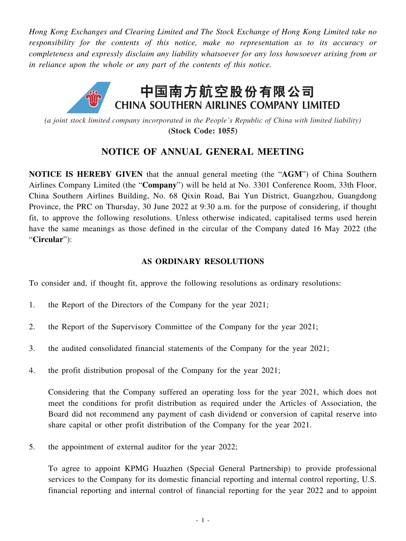*Hong Kong Exchanges and Clearing Limited and The Stock Exchange of Hong Kong Limited take no responsibility for the contents of this notice, make no representation as to its accuracy or completeness and expressly disclaim any liability whatsoever for any loss howsoever arising from or in reliance upon the whole or any part of the contents of this notice.*



*(a joint stock limited company incorporated in the People's Republic of China with limited liability)* **(Stock Code: 1055)**

# **NOTICE OF ANNUAL GENERAL MEETING**

**NOTICE IS HEREBY GIVEN** that the annual general meeting (the "**AGM**") of China Southern Airlines Company Limited (the "**Company**") will be held at No. 3301 Conference Room, 33th Floor, China Southern Airlines Building, No. 68 Qixin Road, Bai Yun District, Guangzhou, Guangdong Province, the PRC on Thursday, 30 June 2022 at 9:30 a.m. for the purpose of considering, if thought fit, to approve the following resolutions. Unless otherwise indicated, capitalised terms used herein have the same meanings as those defined in the circular of the Company dated 16 May 2022 (the "**Circular**"):

## **AS ORDINARY RESOLUTIONS**

To consider and, if thought fit, approve the following resolutions as ordinary resolutions:

- 1. the Report of the Directors of the Company for the year 2021;
- 2. the Report of the Supervisory Committee of the Company for the year 2021;
- 3. the audited consolidated financial statements of the Company for the year 2021;
- 4. the profit distribution proposal of the Company for the year 2021;

Considering that the Company suffered an operating loss for the year 2021, which does not meet the conditions for profit distribution as required under the Articles of Association, the Board did not recommend any payment of cash dividend or conversion of capital reserve into share capital or other profit distribution of the Company for the year 2021.

5. the appointment of external auditor for the year 2022;

To agree to appoint KPMG Huazhen (Special General Partnership) to provide professional services to the Company for its domestic financial reporting and internal control reporting, U.S. financial reporting and internal control of financial reporting for the year 2022 and to appoint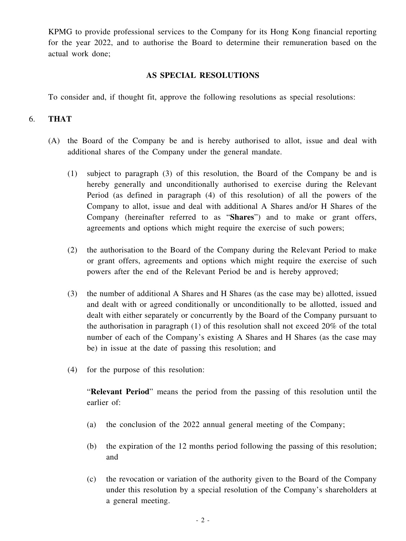KPMG to provide professional services to the Company for its Hong Kong financial reporting for the year 2022, and to authorise the Board to determine their remuneration based on the actual work done;

### **AS SPECIAL RESOLUTIONS**

To consider and, if thought fit, approve the following resolutions as special resolutions:

## 6. **THAT**

- (A) the Board of the Company be and is hereby authorised to allot, issue and deal with additional shares of the Company under the general mandate.
	- (1) subject to paragraph (3) of this resolution, the Board of the Company be and is hereby generally and unconditionally authorised to exercise during the Relevant Period (as defined in paragraph (4) of this resolution) of all the powers of the Company to allot, issue and deal with additional A Shares and/or H Shares of the Company (hereinafter referred to as "**Shares**") and to make or grant offers, agreements and options which might require the exercise of such powers;
	- (2) the authorisation to the Board of the Company during the Relevant Period to make or grant offers, agreements and options which might require the exercise of such powers after the end of the Relevant Period be and is hereby approved;
	- (3) the number of additional A Shares and H Shares (as the case may be) allotted, issued and dealt with or agreed conditionally or unconditionally to be allotted, issued and dealt with either separately or concurrently by the Board of the Company pursuant to the authorisation in paragraph (1) of this resolution shall not exceed 20% of the total number of each of the Company's existing A Shares and H Shares (as the case may be) in issue at the date of passing this resolution; and
	- (4) for the purpose of this resolution:

"**Relevant Period**" means the period from the passing of this resolution until the earlier of:

- (a) the conclusion of the 2022 annual general meeting of the Company;
- (b) the expiration of the 12 months period following the passing of this resolution; and
- (c) the revocation or variation of the authority given to the Board of the Company under this resolution by a special resolution of the Company's shareholders at a general meeting.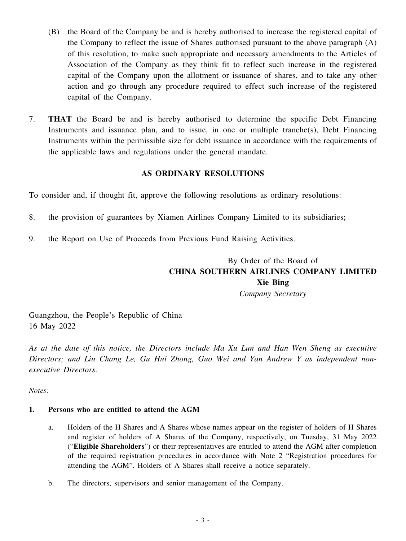- (B) the Board of the Company be and is hereby authorised to increase the registered capital of the Company to reflect the issue of Shares authorised pursuant to the above paragraph (A) of this resolution, to make such appropriate and necessary amendments to the Articles of Association of the Company as they think fit to reflect such increase in the registered capital of the Company upon the allotment or issuance of shares, and to take any other action and go through any procedure required to effect such increase of the registered capital of the Company.
- 7. **THAT** the Board be and is hereby authorised to determine the specific Debt Financing Instruments and issuance plan, and to issue, in one or multiple tranche(s), Debt Financing Instruments within the permissible size for debt issuance in accordance with the requirements of the applicable laws and regulations under the general mandate.

## **AS ORDINARY RESOLUTIONS**

To consider and, if thought fit, approve the following resolutions as ordinary resolutions:

- 8. the provision of guarantees by Xiamen Airlines Company Limited to its subsidiaries;
- 9. the Report on Use of Proceeds from Previous Fund Raising Activities.

# By Order of the Board of **CHINA SOUTHERN AIRLINES COMPANY LIMITED Xie Bing**

*Company Secretary*

Guangzhou, the People's Republic of China 16 May 2022

As at the date of this notice, the Directors include Ma Xu Lun and Han Wen Sheng as executive *Directors; and Liu Chang Le, Gu Hui Zhong, Guo Wei and Yan Andrew Y as independent nonexecutive Directors.*

*Notes:*

#### **1. Persons who are entitled to attend the AGM**

- a. Holders of the H Shares and A Shares whose names appear on the register of holders of H Shares and register of holders of A Shares of the Company, respectively, on Tuesday, 31 May 2022 ("**Eligible Shareholders**") or their representatives are entitled to attend the AGM after completion of the required registration procedures in accordance with Note 2 "Registration procedures for attending the AGM". Holders of A Shares shall receive a notice separately.
- b. The directors, supervisors and senior management of the Company.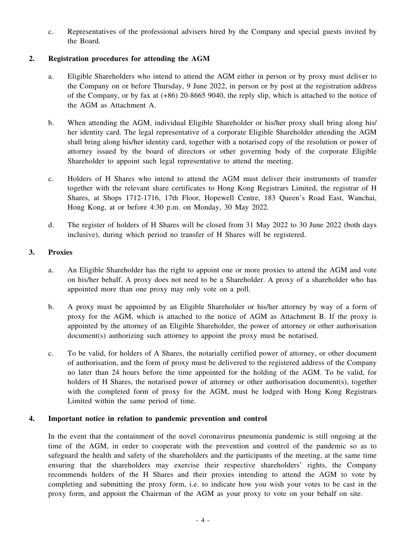c. Representatives of the professional advisers hired by the Company and special guests invited by the Board.

### **2. Registration procedures for attending the AGM**

- a. Eligible Shareholders who intend to attend the AGM either in person or by proxy must deliver to the Company on or before Thursday, 9 June 2022, in person or by post at the registration address of the Company, or by fax at (+86) 20-8665 9040, the reply slip, which is attached to the notice of the AGM as Attachment A.
- b. When attending the AGM, individual Eligible Shareholder or his/her proxy shall bring along his/ her identity card. The legal representative of a corporate Eligible Shareholder attending the AGM shall bring along his/her identity card, together with a notarised copy of the resolution or power of attorney issued by the board of directors or other governing body of the corporate Eligible Shareholder to appoint such legal representative to attend the meeting.
- c. Holders of H Shares who intend to attend the AGM must deliver their instruments of transfer together with the relevant share certificates to Hong Kong Registrars Limited, the registrar of H Shares, at Shops 1712-1716, 17th Floor, Hopewell Centre, 183 Queen's Road East, Wanchai, Hong Kong, at or before 4:30 p.m. on Monday, 30 May 2022.
- d. The register of holders of H Shares will be closed from 31 May 2022 to 30 June 2022 (both days inclusive), during which period no transfer of H Shares will be registered.

#### **3. Proxies**

- a. An Eligible Shareholder has the right to appoint one or more proxies to attend the AGM and vote on his/her behalf. A proxy does not need to be a Shareholder. A proxy of a shareholder who has appointed more than one proxy may only vote on a poll.
- b. A proxy must be appointed by an Eligible Shareholder or his/her attorney by way of a form of proxy for the AGM, which is attached to the notice of AGM as Attachment B. If the proxy is appointed by the attorney of an Eligible Shareholder, the power of attorney or other authorisation document(s) authorizing such attorney to appoint the proxy must be notarised.
- c. To be valid, for holders of A Shares, the notarially certified power of attorney, or other document of authorisation, and the form of proxy must be delivered to the registered address of the Company no later than 24 hours before the time appointed for the holding of the AGM. To be valid, for holders of H Shares, the notarised power of attorney or other authorisation document(s), together with the completed form of proxy for the AGM, must be lodged with Hong Kong Registrars Limited within the same period of time.

#### **4. Important notice in relation to pandemic prevention and control**

In the event that the containment of the novel coronavirus pneumonia pandemic is still ongoing at the time of the AGM, in order to cooperate with the prevention and control of the pandemic so as to safeguard the health and safety of the shareholders and the participants of the meeting, at the same time ensuring that the shareholders may exercise their respective shareholders' rights, the Company recommends holders of the H Shares and their proxies intending to attend the AGM to vote by completing and submitting the proxy form, i.e. to indicate how you wish your votes to be cast in the proxy form, and appoint the Chairman of the AGM as your proxy to vote on your behalf on site.